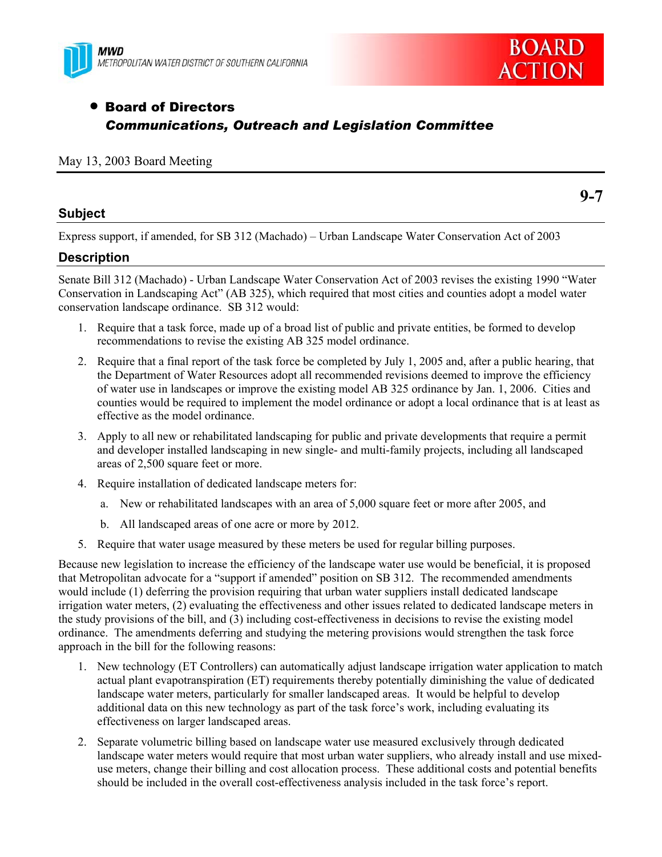



# **• Board of Directors** *Communications, Outreach and Legislation Committee*

### May 13, 2003 Board Meeting

### **Subject**

**9-7** 

Express support, if amended, for SB 312 (Machado) – Urban Landscape Water Conservation Act of 2003

# **Description**

Senate Bill 312 (Machado) - Urban Landscape Water Conservation Act of 2003 revises the existing 1990 "Water Conservation in Landscaping Act" (AB 325), which required that most cities and counties adopt a model water conservation landscape ordinance. SB 312 would:

- 1. Require that a task force, made up of a broad list of public and private entities, be formed to develop recommendations to revise the existing AB 325 model ordinance.
- 2. Require that a final report of the task force be completed by July 1, 2005 and, after a public hearing, that the Department of Water Resources adopt all recommended revisions deemed to improve the efficiency of water use in landscapes or improve the existing model AB 325 ordinance by Jan. 1, 2006. Cities and counties would be required to implement the model ordinance or adopt a local ordinance that is at least as effective as the model ordinance.
- 3. Apply to all new or rehabilitated landscaping for public and private developments that require a permit and developer installed landscaping in new single- and multi-family projects, including all landscaped areas of 2,500 square feet or more.
- 4. Require installation of dedicated landscape meters for:
	- a. New or rehabilitated landscapes with an area of 5,000 square feet or more after 2005, and
	- b. All landscaped areas of one acre or more by 2012.
- 5. Require that water usage measured by these meters be used for regular billing purposes.

Because new legislation to increase the efficiency of the landscape water use would be beneficial, it is proposed that Metropolitan advocate for a "support if amended" position on SB 312. The recommended amendments would include (1) deferring the provision requiring that urban water suppliers install dedicated landscape irrigation water meters, (2) evaluating the effectiveness and other issues related to dedicated landscape meters in the study provisions of the bill, and (3) including cost-effectiveness in decisions to revise the existing model ordinance. The amendments deferring and studying the metering provisions would strengthen the task force approach in the bill for the following reasons:

- 1. New technology (ET Controllers) can automatically adjust landscape irrigation water application to match actual plant evapotranspiration (ET) requirements thereby potentially diminishing the value of dedicated landscape water meters, particularly for smaller landscaped areas. It would be helpful to develop additional data on this new technology as part of the task force's work, including evaluating its effectiveness on larger landscaped areas.
- 2. Separate volumetric billing based on landscape water use measured exclusively through dedicated landscape water meters would require that most urban water suppliers, who already install and use mixeduse meters, change their billing and cost allocation process. These additional costs and potential benefits should be included in the overall cost-effectiveness analysis included in the task force's report.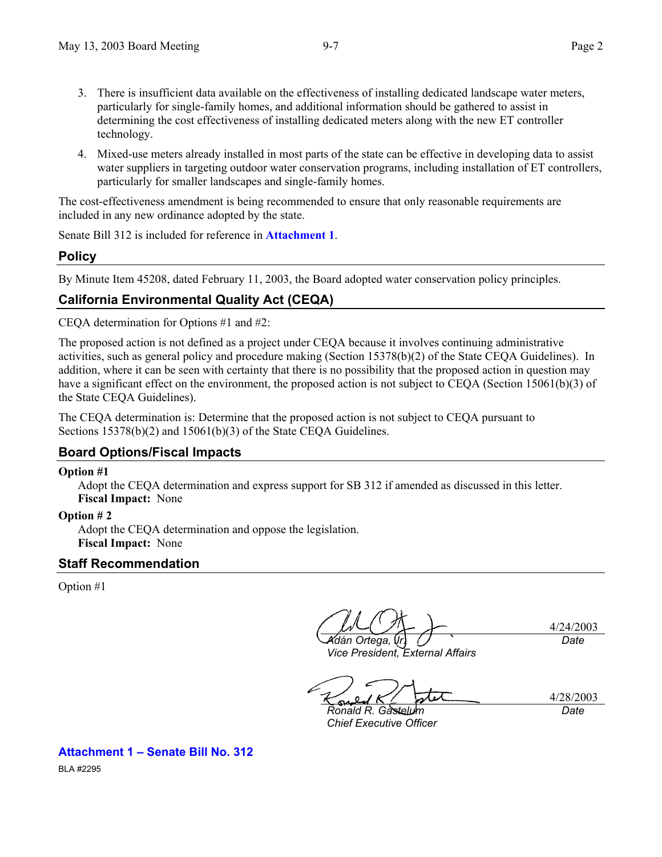- 3. There is insufficient data available on the effectiveness of installing dedicated landscape water meters, particularly for single-family homes, and additional information should be gathered to assist in determining the cost effectiveness of installing dedicated meters along with the new ET controller technology.
- 4. Mixed-use meters already installed in most parts of the state can be effective in developing data to assist water suppliers in targeting outdoor water conservation programs, including installation of ET controllers, particularly for smaller landscapes and single-family homes.

The cost-effectiveness amendment is being recommended to ensure that only reasonable requirements are included in any new ordinance adopted by the state.

Senate Bill 312 is included for reference in **Attachment 1**.

# **Policy**

By Minute Item 45208, dated February 11, 2003, the Board adopted water conservation policy principles.

# **California Environmental Quality Act (CEQA)**

CEQA determination for Options #1 and #2:

The proposed action is not defined as a project under CEQA because it involves continuing administrative activities, such as general policy and procedure making (Section 15378(b)(2) of the State CEQA Guidelines). In addition, where it can be seen with certainty that there is no possibility that the proposed action in question may have a significant effect on the environment, the proposed action is not subject to CEQA (Section 15061(b)(3) of the State CEQA Guidelines).

The CEQA determination is: Determine that the proposed action is not subject to CEQA pursuant to Sections 15378(b)(2) and 15061(b)(3) of the State CEQA Guidelines.

# **Board Options/Fiscal Impacts**

### **Option #1**

Adopt the CEQA determination and express support for SB 312 if amended as discussed in this letter. **Fiscal Impact:** None

# **Option # 2**

Adopt the CEQA determination and oppose the legislation. **Fiscal Impact:** None

# **Staff Recommendation**

Option #1

*Adán Ortega, Jr.* 

*Vice President, External Affairs* 

4/24/2003 *Date*

4/28/2003 *Date*

*Ronald R. Gastelum Chief Executive Officer* 

**Attachment 1 – Senate Bill No. 312** 

BLA #2295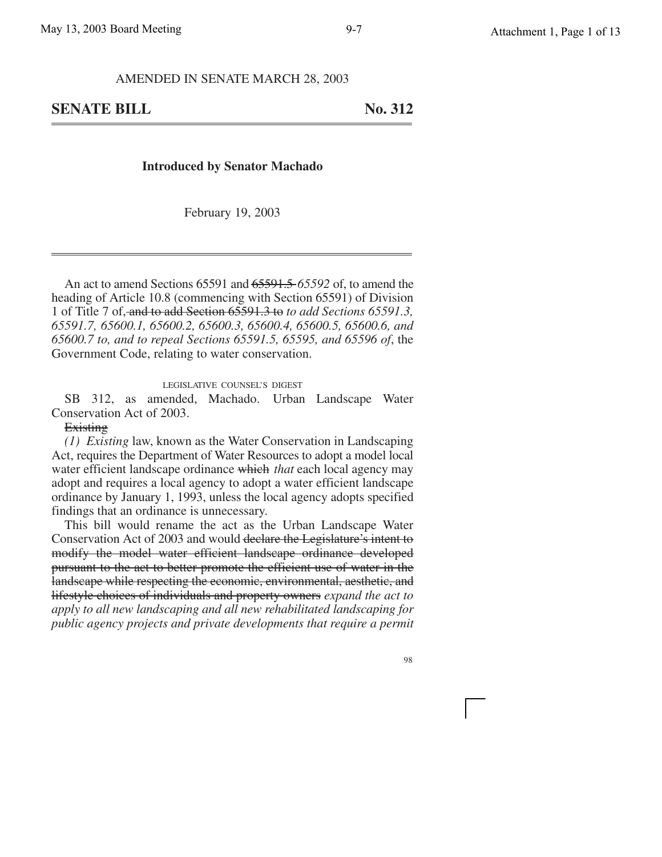AMENDED IN SENATE MARCH 28, 2003

**SENATE BILL** No. 312

#### **Introduced by Senator Machado**

February 19, 2003

An act to amend Sections 65591 and 65591.5 *65592* of, to amend the heading of Article 10.8 (commencing with Section 65591) of Division 1 of Title 7 of, and to add Section 65591.3 to *to add Sections 65591.3, 65591.7, 65600.1, 65600.2, 65600.3, 65600.4, 65600.5, 65600.6, and 65600.7 to, and to repeal Sections 65591.5, 65595, and 65596 of*, the Government Code, relating to water conservation.

#### LEGISLATIVE COUNSEL'S DIGEST

SB 312, as amended, Machado. Urban Landscape Water Conservation Act of 2003.

#### **Existing**

*(1) Existing* law, known as the Water Conservation in Landscaping Act, requires the Department of Water Resources to adopt a model local water efficient landscape ordinance which *that* each local agency may adopt and requires a local agency to adopt a water efficient landscape ordinance by January 1, 1993, unless the local agency adopts specified findings that an ordinance is unnecessary.

This bill would rename the act as the Urban Landscape Water Conservation Act of 2003 and would declare the Legislature's intent to modify the model water efficient landscape ordinance developed pursuant to the act to better promote the efficient use of water in the landscape while respecting the economic, environmental, aesthetic, and lifestyle choices of individuals and property owners *expand the act to apply to all new landscaping and all new rehabilitated landscaping for public agency projects and private developments that require a permit*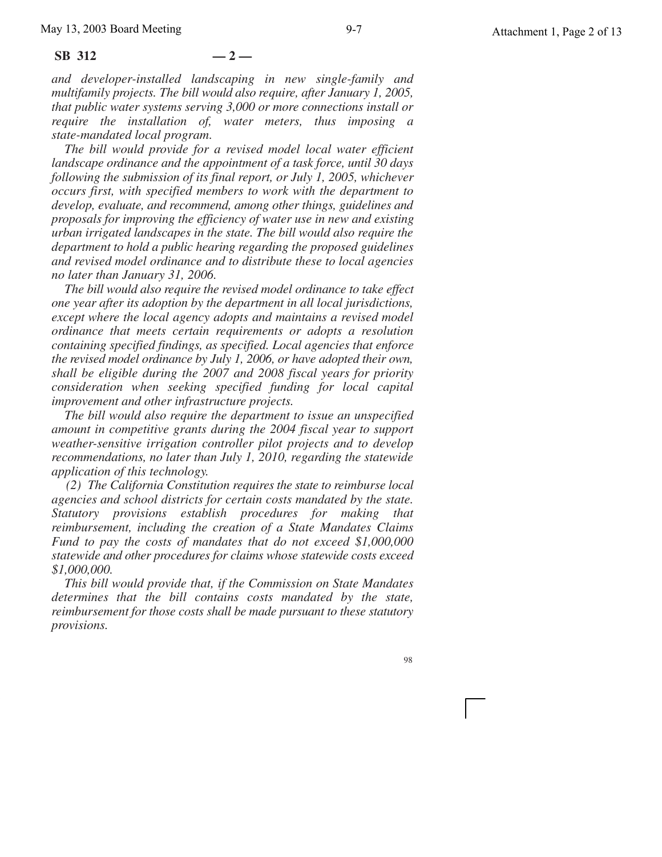#### **SB 312 — 2 —**

*and developer-installed landscaping in new single-family and multifamily projects. The bill would also require, after January 1, 2005, that public water systems serving 3,000 or more connections install or require the installation of, water meters, thus imposing a state-mandated local program*.

*The bill would provide for a revised model local water efficient landscape ordinance and the appointment of a task force, until 30 days following the submission of its final report, or July 1, 2005, whichever occurs first, with specified members to work with the department to develop, evaluate, and recommend, among other things, guidelines and proposals for improving the efficiency of water use in new and existing urban irrigated landscapes in the state. The bill would also require the department to hold a public hearing regarding the proposed guidelines and revised model ordinance and to distribute these to local agencies no later than January 31, 2006.*

*The bill would also require the revised model ordinance to take effect one year after its adoption by the department in all local jurisdictions, except where the local agency adopts and maintains a revised model ordinance that meets certain requirements or adopts a resolution containing specified findings, as specified. Local agencies that enforce the revised model ordinance by July 1, 2006, or have adopted their own, shall be eligible during the 2007 and 2008 fiscal years for priority consideration when seeking specified funding for local capital improvement and other infrastructure projects.*

*The bill would also require the department to issue an unspecified amount in competitive grants during the 2004 fiscal year to support weather-sensitive irrigation controller pilot projects and to develop recommendations, no later than July 1, 2010, regarding the statewide application of this technology.*

*(2) The California Constitution requires the state to reimburse local agencies and school districts for certain costs mandated by the state. Statutory provisions establish procedures for making that reimbursement, including the creation of a State Mandates Claims Fund to pay the costs of mandates that do not exceed \$1,000,000 statewide and other procedures for claims whose statewide costs exceed \$1,000,000.*

*This bill would provide that, if the Commission on State Mandates determines that the bill contains costs mandated by the state, reimbursement for those costs shall be made pursuant to these statutory provisions.*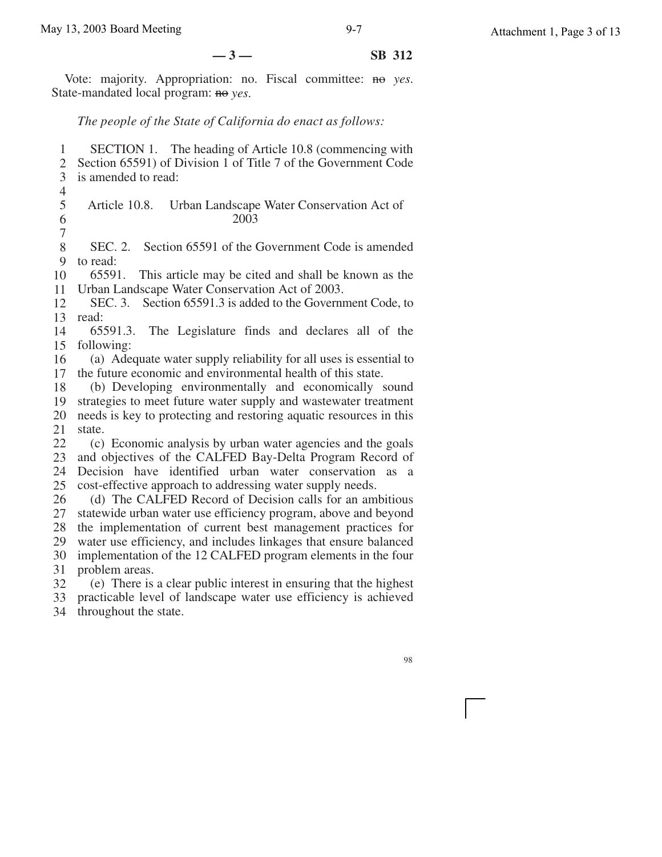**—3— SB 312**

Vote: majority. Appropriation: no. Fiscal committee: no *yes*. State-mandated local program: no *yes*.

### *The people of the State of California do enact as follows:*

1 2 3 4 5 6 7 8 9 10 11 12 13 read: 14 15 following: 16 17 18 19 20 21 22 23 24 25 26 27 28 29 30 31 32 SECTION 1. The heading of Article 10.8 (commencing with Section 65591) of Division 1 of Title 7 of the Government Code is amended to read: Article 10.8. Urban Landscape Water Conservation Act of 2003 SEC. 2. Section 65591 of the Government Code is amended to read: 65591. This article may be cited and shall be known as the Urban Landscape Water Conservation Act of 2003. SEC. 3. Section 65591.3 is added to the Government Code, to 65591.3. The Legislature finds and declares all of the (a) Adequate water supply reliability for all uses is essential to the future economic and environmental health of this state. (b) Developing environmentally and economically sound strategies to meet future water supply and wastewater treatment needs is key to protecting and restoring aquatic resources in this state. (c) Economic analysis by urban water agencies and the goals and objectives of the CALFED Bay-Delta Program Record of Decision have identified urban water conservation as a cost-effective approach to addressing water supply needs. (d) The CALFED Record of Decision calls for an ambitious statewide urban water use efficiency program, above and beyond the implementation of current best management practices for water use efficiency, and includes linkages that ensure balanced implementation of the 12 CALFED program elements in the four problem areas. (e) There is a clear public interest in ensuring that the highest

33 practicable level of landscape water use efficiency is achieved

34 throughout the state.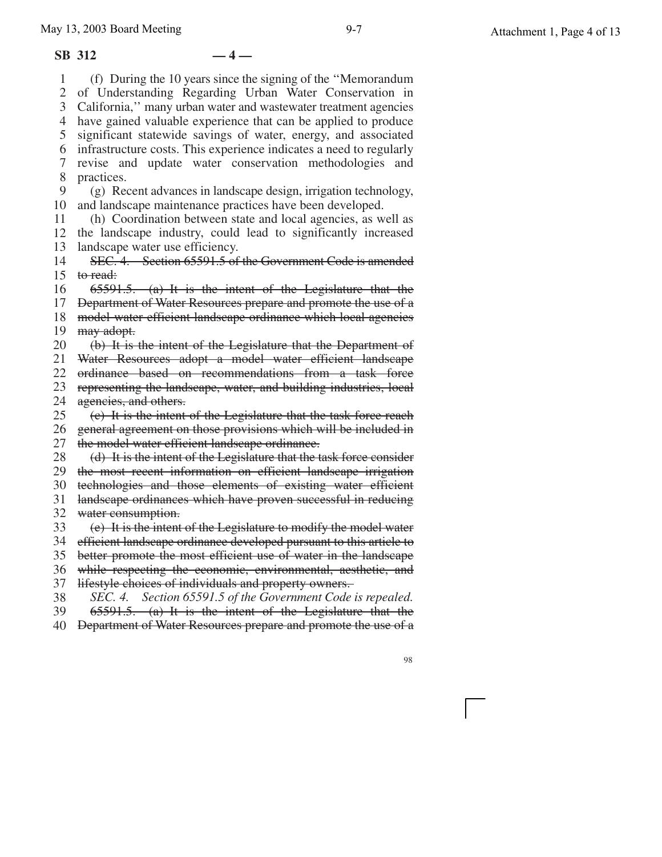#### **SB 312 — 4 —**

1 2 3

5

7 8 9

11

13 14

31 32 33

35

37 38 39

4 have gained valuable experience that can be applied to produce 6 10 12 15 to read: 29 30 34 efficient landscape ordinance developed pursuant to this article to 36 while respecting the economic, environmental, aesthetic, and 40 Department of Water Resources prepare and promote the use of a 98 (f) During the 10 years since the signing of the ''Memorandum of Understanding Regarding Urban Water Conservation in California,'' many urban water and wastewater treatment agencies significant statewide savings of water, energy, and associated infrastructure costs. This experience indicates a need to regularly revise and update water conservation methodologies and practices. (g) Recent advances in landscape design, irrigation technology, and landscape maintenance practices have been developed. (h) Coordination between state and local agencies, as well as the landscape industry, could lead to significantly increased landscape water use efficiency. SEC. 4. Section 65591.5 of the Government Code is amended 65591.5. (a) It is the intent of the Legislature that the Department of Water Resources prepare and promote the use of a model water efficient landscape ordinance which local agencies may adopt. (b) It is the intent of the Legislature that the Department of Water Resources adopt a model water efficient landscape ordinance based on recommendations from a task force representing the landscape, water, and building industries, local agencies, and others. (c) It is the intent of the Legislature that the task force reach general agreement on those provisions which will be included in the model water efficient landscape ordinance. (d) It is the intent of the Legislature that the task force consider the most recent information on efficient landscape irrigation technologies and those elements of existing water efficient landscape ordinances which have proven successful in reducing water consumption. (e) It is the intent of the Legislature to modify the model water better promote the most efficient use of water in the landscape lifestyle choices of individuals and property owners. *SEC. 4. Section 65591.5 of the Government Code is repealed.* 65591.5. (a) It is the intent of the Legislature that the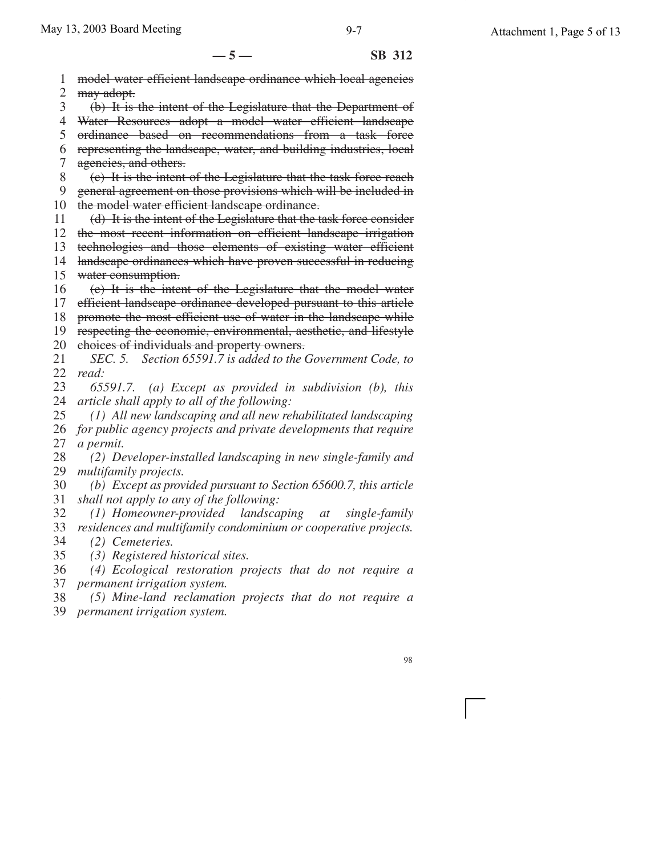**—5— SB 312**

1 2 3 4 5 6 7 8 9 10 the model water efficient landscape ordinance. 11 12 13 14 15 water consumption. 16 17 18 19 20 21 22 23 24 25 26 27 28 29 30 31 32 33 34 35 36 model water efficient landscape ordinance which local agencies may adopt. (b) It is the intent of the Legislature that the Department of Water Resources adopt a model water efficient landscape ordinance based on recommendations from a task force representing the landscape, water, and building industries, local agencies, and others. (c) It is the intent of the Legislature that the task force reach general agreement on those provisions which will be included in (d) It is the intent of the Legislature that the task force consider the most recent information on efficient landscape irrigation technologies and those elements of existing water efficient landscape ordinances which have proven successful in reducing (e) It is the intent of the Legislature that the model water efficient landscape ordinance developed pursuant to this article promote the most efficient use of water in the landscape while respecting the economic, environmental, aesthetic, and lifestyle choices of individuals and property owners. *SEC. 5. Section 65591.7 is added to the Government Code, to read: 65591.7. (a) Except as provided in subdivision (b), this article shall apply to all of the following: (1) All new landscaping and all new rehabilitated landscaping for public agency projects and private developments that require a permit. (2) Developer-installed landscaping in new single-family and multifamily projects. (b) Except as provided pursuant to Section 65600.7, this article shall not apply to any of the following: (1) Homeowner-provided landscaping at single-family residences and multifamily condominium or cooperative projects. (2) Cemeteries. (3) Registered historical sites. (4) Ecological restoration projects that do not require a*

37 *permanent irrigation system.*

38 39 *permanent irrigation system. (5) Mine-land reclamation projects that do not require a*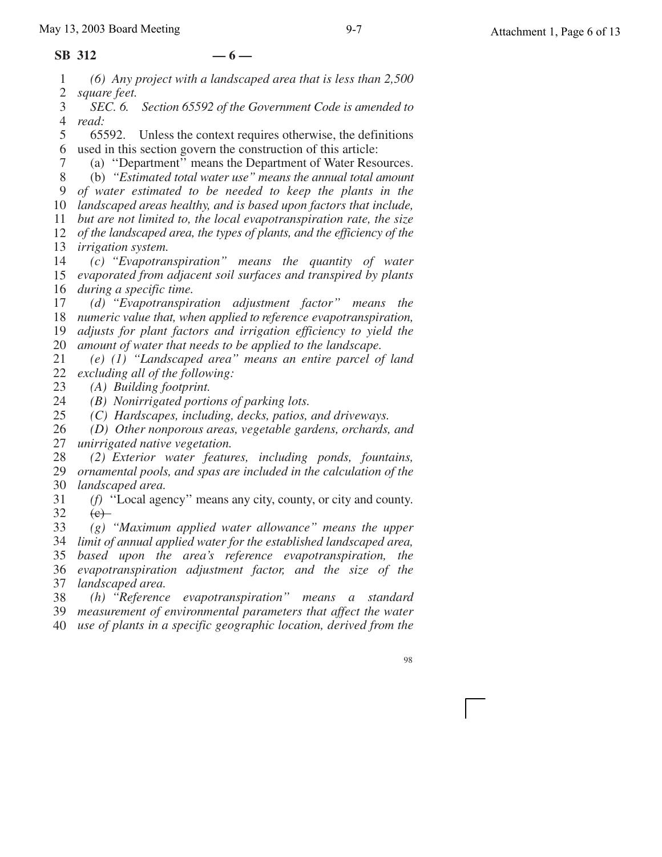#### **SB 312 — 6 —**

7

1 2 *(6) Any project with a landscaped area that is less than 2,500 square feet.*

3 4 *SEC. 6. Section 65592 of the Government Code is amended to read:*

5 6 used in this section govern the construction of this article: 65592. Unless the context requires otherwise, the definitions

(a) ''Department'' means the Department of Water Resources.

8 9 (b) *''Estimated total water use'' means the annual total amount of water estimated to be needed to keep the plants in the*

10 *landscaped areas healthy, and is based upon factors that include,* 11 *but are not limited to, the local evapotranspiration rate, the size*

12 *of the landscaped area, the types of plants, and the efficiency of the* 13 *irrigation system.*

14 15 *evaporated from adjacent soil surfaces and transpired by plants* 16 *during a specific time. (c) ''Evapotranspiration'' means the quantity of water*

17 18 *numeric value that, when applied to reference evapotranspiration,* 19 20 *(d) ''Evapotranspiration adjustment factor'' means the adjusts for plant factors and irrigation efficiency to yield the amount of water that needs to be applied to the landscape.*

21 22 *(e) (1) ''Landscaped area'' means an entire parcel of land excluding all of the following:*

23 *(A) Building footprint.*

24 *(B) Nonirrigated portions of parking lots.*

25 *(C) Hardscapes, including, decks, patios, and driveways.*

26 27 *(D) Other nonporous areas, vegetable gardens, orchards, and unirrigated native vegetation.*

28 29 *ornamental pools, and spas are included in the calculation of the* 30 *(2) Exterior water features, including ponds, fountains, landscaped area.*

31 32 *(f)* ''Local agency'' means any city, county, or city and county.  $(e)$ 

33 34 *limit of annual applied water for the established landscaped area, (g) ''Maximum applied water allowance'' means the upper*

35 36 *evapotranspiration adjustment factor, and the size of the* 37 *based upon the area's reference evapotranspiration, the landscaped area.*

38 39 *measurement of environmental parameters that affect the water (h) ''Reference evapotranspiration'' means a standard*

40 *use of plants in a specific geographic location, derived from the*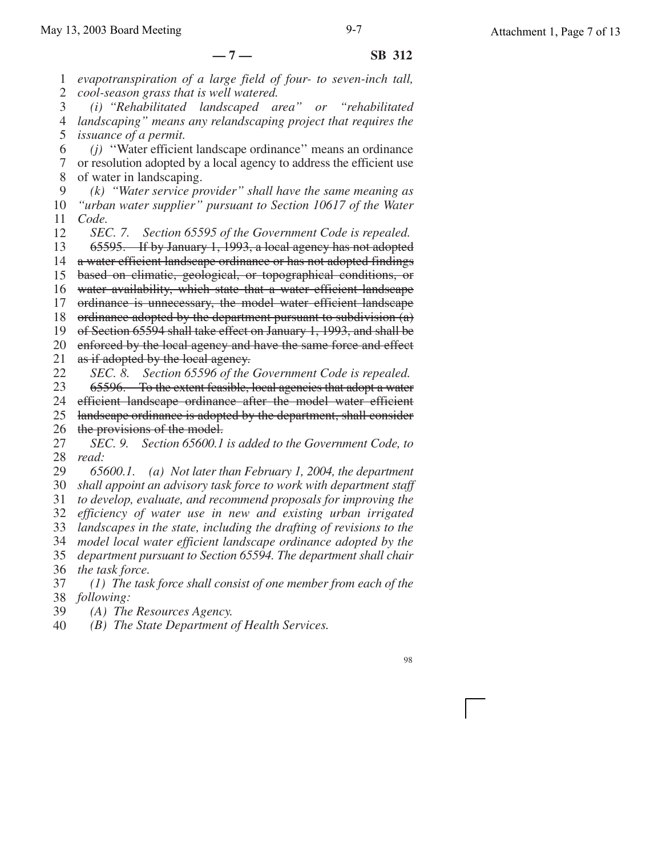1 2 3 4 5 6 7 8 9 *evapotranspiration of a large field of four- to seven-inch tall, cool-season grass that is well watered. (i) ''Rehabilitated landscaped area'' or ''rehabilitated landscaping'' means any relandscaping project that requires the issuance of a permit. (j)* ''Water efficient landscape ordinance'' means an ordinance or resolution adopted by a local agency to address the efficient use of water in landscaping. *(k) ''Water service provider'' shall have the same meaning as*

10 11 12 *''urban water supplier'' pursuant to Section 10617 of the Water Code. SEC. 7. Section 65595 of the Government Code is repealed.*

13 14 a water efficient landscape ordinance or has not adopted findings 15 16 17 18 19 20 21 22 65595. If by January 1, 1993, a local agency has not adopted based on climatic, geological, or topographical conditions, or water availability, which state that a water efficient landscape ordinance is unnecessary, the model water efficient landscape ordinance adopted by the department pursuant to subdivision (a) of Section 65594 shall take effect on January 1, 1993, and shall be enforced by the local agency and have the same force and effect as if adopted by the local agency. *SEC. 8. Section 65596 of the Government Code is repealed.*

23 24 65596. To the extent feasible, local agencies that adopt a water efficient landscape ordinance after the model water efficient

25 landscape ordinance is adopted by the department, shall consider

26 the provisions of the model.

27 28 *SEC. 9. Section 65600.1 is added to the Government Code, to read:*

29 30 31 32 *65600.1. (a) Not later than February 1, 2004, the department shall appoint an advisory task force to work with department staff to develop, evaluate, and recommend proposals for improving the efficiency of water use in new and existing urban irrigated*

33 34 *landscapes in the state, including the drafting of revisions to the model local water efficient landscape ordinance adopted by the*

35 36 *department pursuant to Section 65594. The department shall chair the task force.*

37 38 *(1) The task force shall consist of one member from each of the following:*

- 39 *(A) The Resources Agency.*
- 40 *(B) The State Department of Health Services.*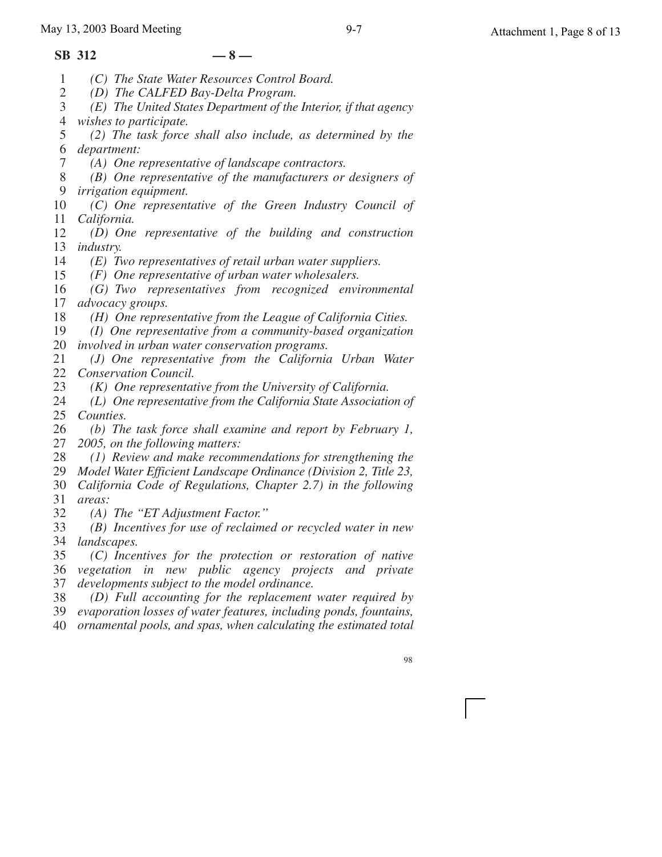#### **SB 312 — 8 —**

- 1 *(C) The State Water Resources Control Board.*
- 2 *(D) The CALFED Bay-Delta Program.*
- 3 4 *(E) The United States Department of the Interior, if that agency wishes to participate.*
- 5 6 *department: (2) The task force shall also include, as determined by the*
	- *(A) One representative of landscape contractors.*
- 8 9 *(B) One representative of the manufacturers or designers of irrigation equipment.*
- 10 11 *(C) One representative of the Green Industry Council of California.*
- 12 13 *industry. (D) One representative of the building and construction*
- 14 *(E) Two representatives of retail urban water suppliers.*
- 15 *(F) One representative of urban water wholesalers.*
- 16 17 *(G) Two representatives from recognized environmental advocacy groups.*
- 18 *(H) One representative from the League of California Cities.*
- 19 20 *involved in urban water conservation programs. (I) One representative from a community-based organization*
- 21 22 *(J) One representative from the California Urban Water Conservation Council.*
- 23 *(K) One representative from the University of California.*
- 24 25 *Counties. (L) One representative from the California State Association of*
- 26 27 *(b) The task force shall examine and report by February 1, 2005, on the following matters:*
- 28 *(1) Review and make recommendations for strengthening the*
- 29 *Model Water Efficient Landscape Ordinance (Division 2, Title 23,*
- 30 31 *California Code of Regulations, Chapter 2.7) in the following areas:*
- 32 *(A) The ''ET Adjustment Factor.''*
- 33 34 *landscapes. (B) Incentives for use of reclaimed or recycled water in new*
- 35 36 *vegetation in new public agency projects and private* 37 *(C) Incentives for the protection or restoration of native developments subject to the model ordinance.*
- 38 *(D) Full accounting for the replacement water required by*
- 39 *evaporation losses of water features, including ponds, fountains,*
- 40 *ornamental pools, and spas, when calculating the estimated total*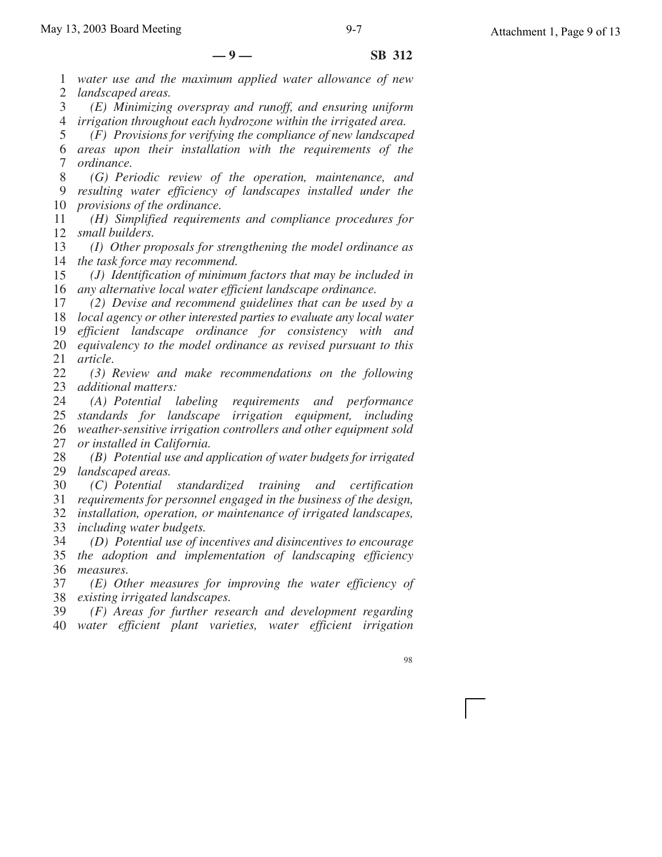1 2 *water use and the maximum applied water allowance of new landscaped areas.*

3 4 *irrigation throughout each hydrozone within the irrigated area. (E) Minimizing overspray and runoff, and ensuring uniform*

5 6 *areas upon their installation with the requirements of the* 7 *(F) Provisions for verifying the compliance of new landscaped ordinance.*

8 9 10 *(G) Periodic review of the operation, maintenance, and resulting water efficiency of landscapes installed under the provisions of the ordinance.*

11 12 *(H) Simplified requirements and compliance procedures for small builders.*

13 14 *the task force may recommend. (I) Other proposals for strengthening the model ordinance as*

15 16 *any alternative local water efficient landscape ordinance. (J) Identification of minimum factors that may be included in*

17 18 *local agency or other interested parties to evaluate any local water* 19 20 21 *(2) Devise and recommend guidelines that can be used by a efficient landscape ordinance for consistency with and equivalency to the model ordinance as revised pursuant to this article.*

22 23 *additional matters: (3) Review and make recommendations on the following*

24 25 *standards for landscape irrigation equipment, including* 26 27 *(A) Potential labeling requirements and performance weather-sensitive irrigation controllers and other equipment sold or installed in California.*

28 29 *landscaped areas. (B) Potential use and application of water budgets for irrigated*

30 31 *(C) Potential standardized training and certification requirements for personnel engaged in the business of the design,*

32 *installation, operation, or maintenance of irrigated landscapes,*

33 *including water budgets.*

34 35 *the adoption and implementation of landscaping efficiency* 36 *measures. (D) Potential use of incentives and disincentives to encourage*

37 38 *existing irrigated landscapes. (E) Other measures for improving the water efficiency of*

39 40 *(F) Areas for further research and development regarding water efficient plant varieties, water efficient irrigation*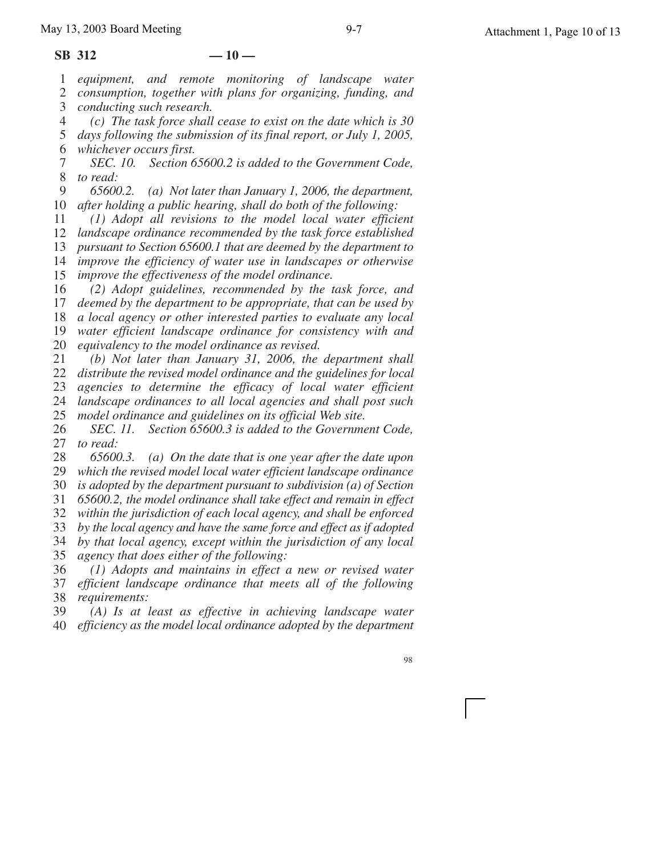1 *equipment, and remote monitoring of landscape water*

2 *consumption, together with plans for organizing, funding, and*

- 3 *conducting such research.*
- 4 *(c) The task force shall cease to exist on the date which is 30*

5 *days following the submission of its final report, or July 1, 2005,* 6 *whichever occurs first.*

7 8 *SEC. 10. Section 65600.2 is added to the Government Code, to read:*

9 10 *after holding a public hearing, shall do both of the following: 65600.2. (a) Not later than January 1, 2006, the department,*

11 *(1) Adopt all revisions to the model local water efficient*

12 *landscape ordinance recommended by the task force established*

13 *pursuant to Section 65600.1 that are deemed by the department to*

14 15 *improve the efficiency of water use in landscapes or otherwise improve the effectiveness of the model ordinance.*

16 *(2) Adopt guidelines, recommended by the task force, and*

17 *deemed by the department to be appropriate, that can be used by*

18 *a local agency or other interested parties to evaluate any local*

19 *water efficient landscape ordinance for consistency with and*

20 *equivalency to the model ordinance as revised.*

21 22 *(b) Not later than January 31, 2006, the department shall distribute the revised model ordinance and the guidelines for local*

23 *agencies to determine the efficacy of local water efficient*

24 *landscape ordinances to all local agencies and shall post such*

25 *model ordinance and guidelines on its official Web site.*

26 27 *SEC. 11. Section 65600.3 is added to the Government Code, to read:*

28 29 *65600.3. (a) On the date that is one year after the date upon which the revised model local water efficient landscape ordinance*

30 *is adopted by the department pursuant to subdivision (a) of Section*

31 *65600.2, the model ordinance shall take effect and remain in effect*

32 *within the jurisdiction of each local agency, and shall be enforced*

33 *by the local agency and have the same force and effect as if adopted*

34 *by that local agency, except within the jurisdiction of any local*

35 *agency that does either of the following:*

36 37 38 *(1) Adopts and maintains in effect a new or revised water efficient landscape ordinance that meets all of the following requirements:*

39 40 *(A) Is at least as effective in achieving landscape water efficiency as the model local ordinance adopted by the department*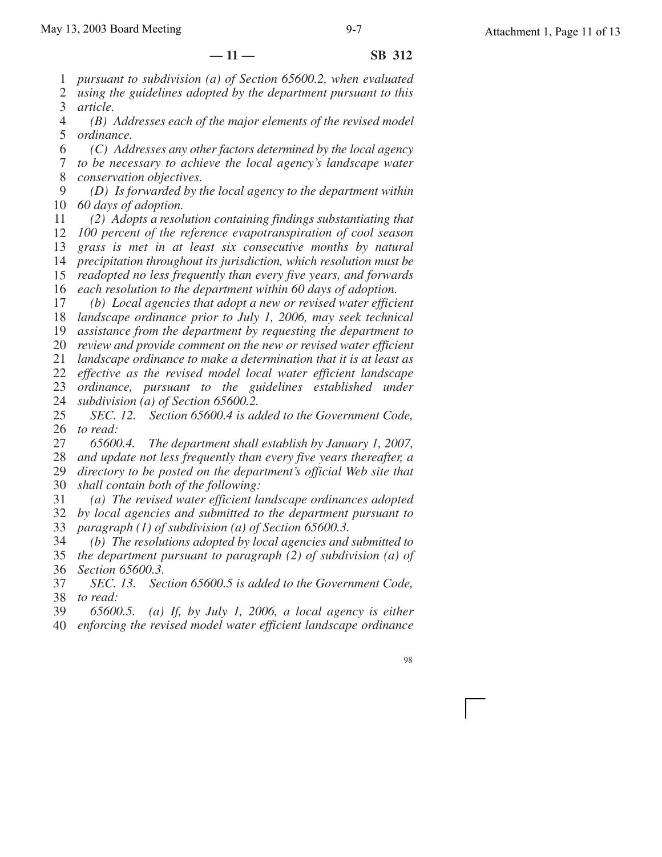1 *pursuant to subdivision (a) of Section 65600.2, when evaluated*

2 *using the guidelines adopted by the department pursuant to this*

3 *article.*

4 5 *ordinance. (B) Addresses each of the major elements of the revised model*

6 7 8 *(C) Addresses any other factors determined by the local agency to be necessary to achieve the local agency's landscape water conservation objectives.*

9 10 *60 days of adoption. (D) Is forwarded by the local agency to the department within*

11 12 13 14 15 *(2) Adopts a resolution containing findings substantiating that 100 percent of the reference evapotranspiration of cool season grass is met in at least six consecutive months by natural precipitation throughout its jurisdiction, which resolution must be readopted no less frequently than every five years, and forwards*

16 *each resolution to the department within 60 days of adoption.*

17 18 *landscape ordinance prior to July 1, 2006, may seek technical (b) Local agencies that adopt a new or revised water efficient*

19 *assistance from the department by requesting the department to*

20 *review and provide comment on the new or revised water efficient*

21 *landscape ordinance to make a determination that it is at least as*

22 *effective as the revised model local water efficient landscape*

23 24 *ordinance, pursuant to the guidelines established under subdivision (a) of Section 65600.2.*

25 26 *SEC. 12. Section 65600.4 is added to the Government Code, to read:*

27 28 *65600.4. The department shall establish by January 1, 2007, and update not less frequently than every five years thereafter, a*

29 30 *directory to be posted on the department's official Web site that shall contain both of the following:*

31 32 33 *(a) The revised water efficient landscape ordinances adopted by local agencies and submitted to the department pursuant to paragraph (1) of subdivision (a) of Section 65600.3.*

34 35 36 *(b) The resolutions adopted by local agencies and submitted to the department pursuant to paragraph (2) of subdivision (a) of Section 65600.3.*

37 38 *SEC. 13. Section 65600.5 is added to the Government Code, to read:*

39 40 *65600.5. (a) If, by July 1, 2006, a local agency is either enforcing the revised model water efficient landscape ordinance*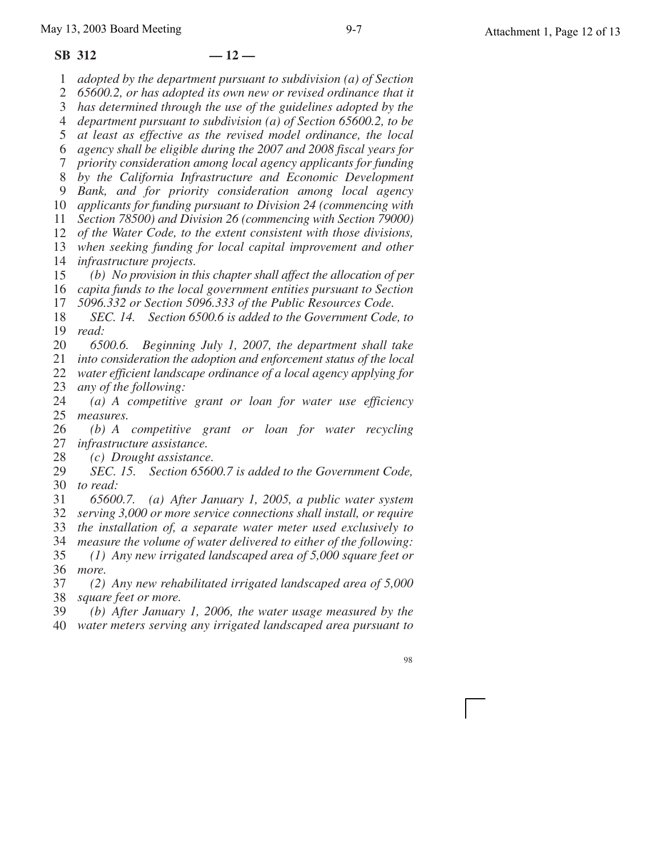#### **SB 312 — 12 —**

1 *adopted by the department pursuant to subdivision (a) of Section*

2 *65600.2, or has adopted its own new or revised ordinance that it*

3 *has determined through the use of the guidelines adopted by the*

4 *department pursuant to subdivision (a) of Section 65600.2, to be*

5 *at least as effective as the revised model ordinance, the local agency shall be eligible during the 2007 and 2008 fiscal years for*

6 7

8 *by the California Infrastructure and Economic Development priority consideration among local agency applicants for funding*

9 *Bank, and for priority consideration among local agency*

10 *applicants for funding pursuant to Division 24 (commencing with*

11 *Section 78500) and Division 26 (commencing with Section 79000)*

12 *of the Water Code, to the extent consistent with those divisions,*

13 14 *when seeking funding for local capital improvement and other infrastructure projects.*

15 *(b) No provision in this chapter shall affect the allocation of per*

16 *capita funds to the local government entities pursuant to Section*

17 *5096.332 or Section 5096.333 of the Public Resources Code.*

18 19 *SEC. 14. Section 6500.6 is added to the Government Code, to read:*

20 *6500.6. Beginning July 1, 2007, the department shall take*

21 *into consideration the adoption and enforcement status of the local*

22 23 *water efficient landscape ordinance of a local agency applying for any of the following:*

24 25 *(a) A competitive grant or loan for water use efficiency measures.*

26 27 *(b) A competitive grant or loan for water recycling infrastructure assistance.*

28 *(c) Drought assistance.*

29 30 *to read: SEC. 15. Section 65600.7 is added to the Government Code,*

31 32 *65600.7. (a) After January 1, 2005, a public water system serving 3,000 or more service connections shall install, or require*

33 *the installation of, a separate water meter used exclusively to*

34 35 *measure the volume of water delivered to either of the following: (1) Any new irrigated landscaped area of 5,000 square feet or*

36 *more.*

37 38 *(2) Any new rehabilitated irrigated landscaped area of 5,000 square feet or more.*

39 40 *(b) After January 1, 2006, the water usage measured by the water meters serving any irrigated landscaped area pursuant to*